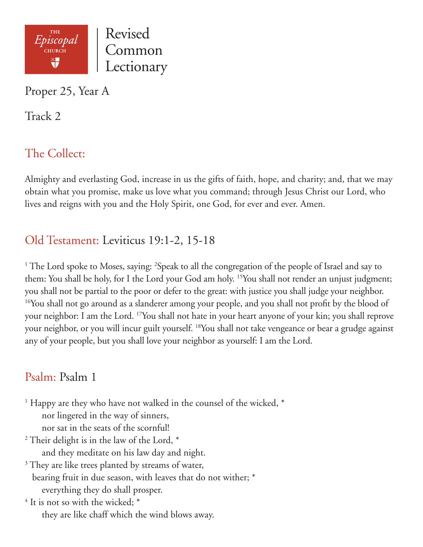

Proper 25, Year A

Track 2

# The Collect:

Almighty and everlasting God, increase in us the gifts of faith, hope, and charity; and, that we may obtain what you promise, make us love what you command; through Jesus Christ our Lord, who lives and reigns with you and the Holy Spirit, one God, for ever and ever. Amen.

### Old Testament: Leviticus 19:1-2, 15-18

<sup>1</sup> The Lord spoke to Moses, saying: <sup>2</sup>Speak to all the congregation of the people of Israel and say to them: You shall be holy, for I the Lord your God am holy. 15You shall not render an unjust judgment; you shall not be partial to the poor or defer to the great: with justice you shall judge your neighbor. <sup>16</sup>You shall not go around as a slanderer among your people, and you shall not profit by the blood of your neighbor: I am the Lord. 17You shall not hate in your heart anyone of your kin; you shall reprove your neighbor, or you will incur guilt yourself. 18You shall not take vengeance or bear a grudge against any of your people, but you shall love your neighbor as yourself: I am the Lord.

## Psalm: Psalm 1

<sup>1</sup> Happy are they who have not walked in the counsel of the wicked,  $^*$ 

nor lingered in the way of sinners,

nor sat in the seats of the scornful!

<sup>2</sup> Their delight is in the law of the Lord,  $^*$ and they meditate on his law day and night.

 $3$  They are like trees planted by streams of water,

bearing fruit in due season, with leaves that do not wither; \*

everything they do shall prosper.

 $4$  It is not so with the wicked;  $*$ they are like chaff which the wind blows away.